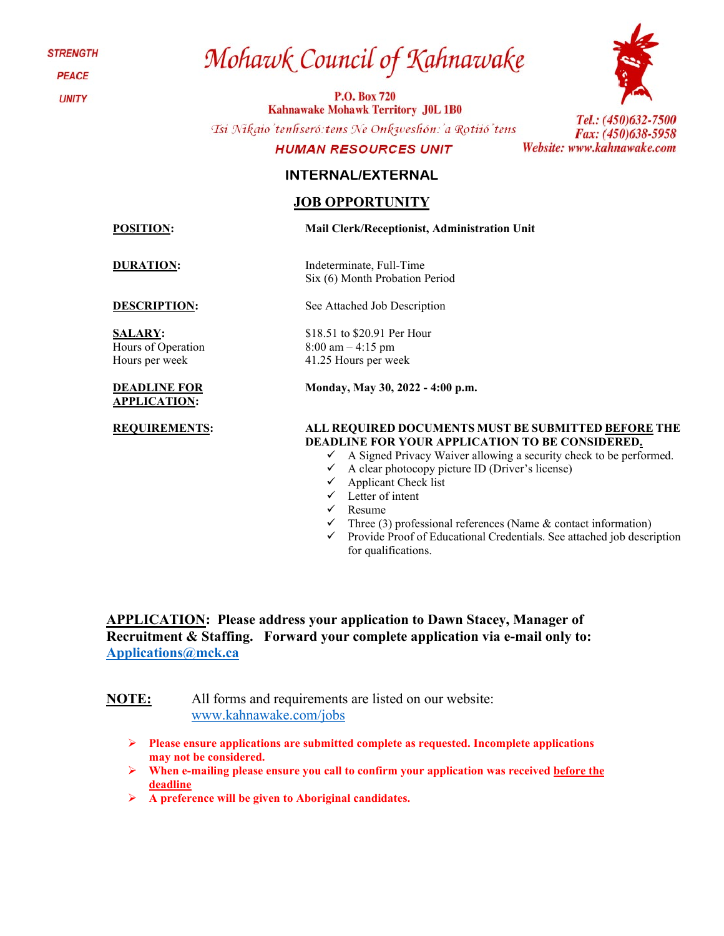**STRENGTH** 

**PEACE** 

**UNITY** 

# Mohawk Council of Kahnawake

**P.O. Box 720 Kahnawake Mohawk Territory J0L 1B0** 

Tsi Nikaio'tenhseró: tens Ne Onkweshón: 'a Rotiió' tens

#### **HUMAN RESOURCES UNIT**

### **INTERNAL/EXTERNAL**

### **JOB OPPORTUNITY**

**SALARY:**  Hours of Operation Hours per week

#### **DEADLINE FOR APPLICATION:**



Tel.: (450)632-7500 Fax: (450)638-5958 Website: www.kahnawake.com

**POSITION: Mail Clerk/Receptionist, Administration Unit**

**DURATION:** Indeterminate, Full-Time Six (6) Month Probation Period

**DESCRIPTION:** See Attached Job Description

\$18.51 to \$20.91 Per Hour 8:00 am – 4:15 pm 41.25 Hours per week

**Monday, May 30, 2022 - 4:00 p.m.**

#### **REQUIREMENTS: ALL REQUIRED DOCUMENTS MUST BE SUBMITTED BEFORE THE DEADLINE FOR YOUR APPLICATION TO BE CONSIDERED.**

- $\checkmark$  A Signed Privacy Waiver allowing a security check to be performed.
- $\checkmark$  A clear photocopy picture ID (Driver's license)
- $\checkmark$  Applicant Check list
- $\checkmark$  Letter of intent
- $\checkmark$  Resume
	- Three (3) professional references (Name & contact information)
- $\checkmark$  Provide Proof of Educational Credentials. See attached job description for qualifications.

**APPLICATION: Please address your application to Dawn Stacey, Manager of Recruitment & Staffing. Forward your complete application via e-mail only to: [Applications@mck.ca](mailto:Applications@mck.ca)**

**NOTE:** All forms and requirements are listed on our website: [www.kahnawake.com/jobs](http://www.kahnawake.com/jobs)

- **Please ensure applications are submitted complete as requested. Incomplete applications may not be considered.**
- **When e-mailing please ensure you call to confirm your application was received before the deadline**
- **A preference will be given to Aboriginal candidates.**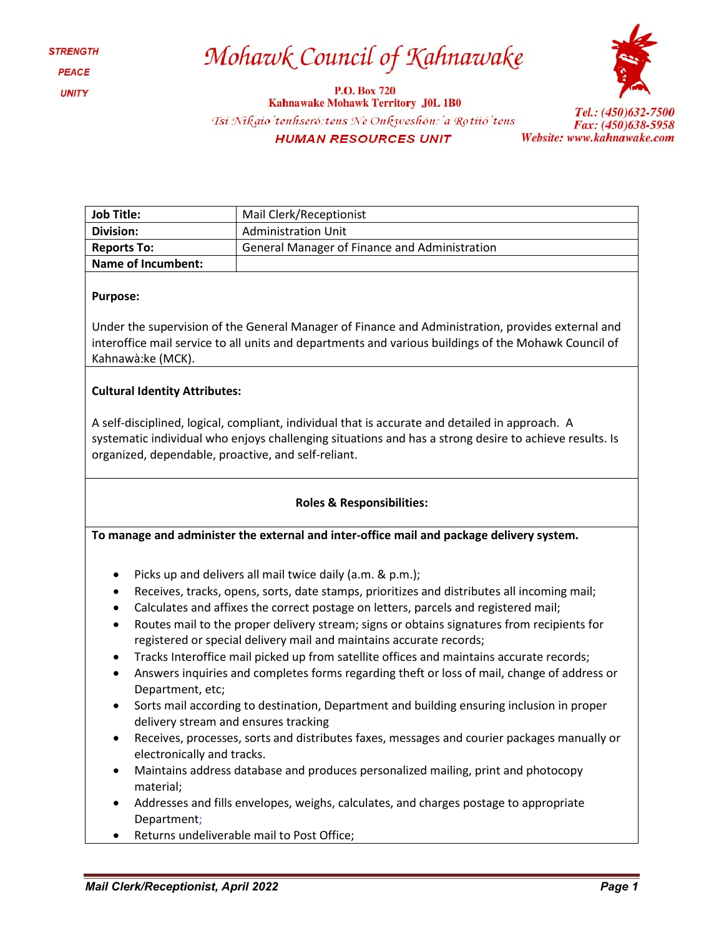### Mohawk Council of Kahnawake

**P.O. Box 720 Kahnawake Mohawk Territory J0L 1B0** Tsi Nikaio'tenhseró: tens Ne Onkweshón: 'a Rotiió' tens **HUMAN RESOURCES UNIT** 



Tel.: (450)632-7500 Fax: (450)638-5958 Website: www.kahnawake.com

| <b>Job Title:</b>  | Mail Clerk/Receptionist                       |  |
|--------------------|-----------------------------------------------|--|
| Division:          | <b>Administration Unit</b>                    |  |
| <b>Reports To:</b> | General Manager of Finance and Administration |  |
| Name of Incumbent: |                                               |  |

#### **Purpose:**

Under the supervision of the General Manager of Finance and Administration, provides external and interoffice mail service to all units and departments and various buildings of the Mohawk Council of Kahnawà:ke (MCK).

#### **Cultural Identity Attributes:**

A self-disciplined, logical, compliant, individual that is accurate and detailed in approach. A systematic individual who enjoys challenging situations and has a strong desire to achieve results. Is organized, dependable, proactive, and self-reliant.

#### **Roles & Responsibilities:**

**To manage and administer the external and inter-office mail and package delivery system.**

- Picks up and delivers all mail twice daily (a.m. & p.m.);
- Receives, tracks, opens, sorts, date stamps, prioritizes and distributes all incoming mail;
- Calculates and affixes the correct postage on letters, parcels and registered mail;
- Routes mail to the proper delivery stream; signs or obtains signatures from recipients for registered or special delivery mail and maintains accurate records;
- Tracks Interoffice mail picked up from satellite offices and maintains accurate records;
- Answers inquiries and completes forms regarding theft or loss of mail, change of address or Department, etc;
- Sorts mail according to destination, Department and building ensuring inclusion in proper delivery stream and ensures tracking
- Receives, processes, sorts and distributes faxes, messages and courier packages manually or electronically and tracks.
- Maintains address database and produces personalized mailing, print and photocopy material;
- Addresses and fills envelopes, weighs, calculates, and charges postage to appropriate Department;
- Returns undeliverable mail to Post Office;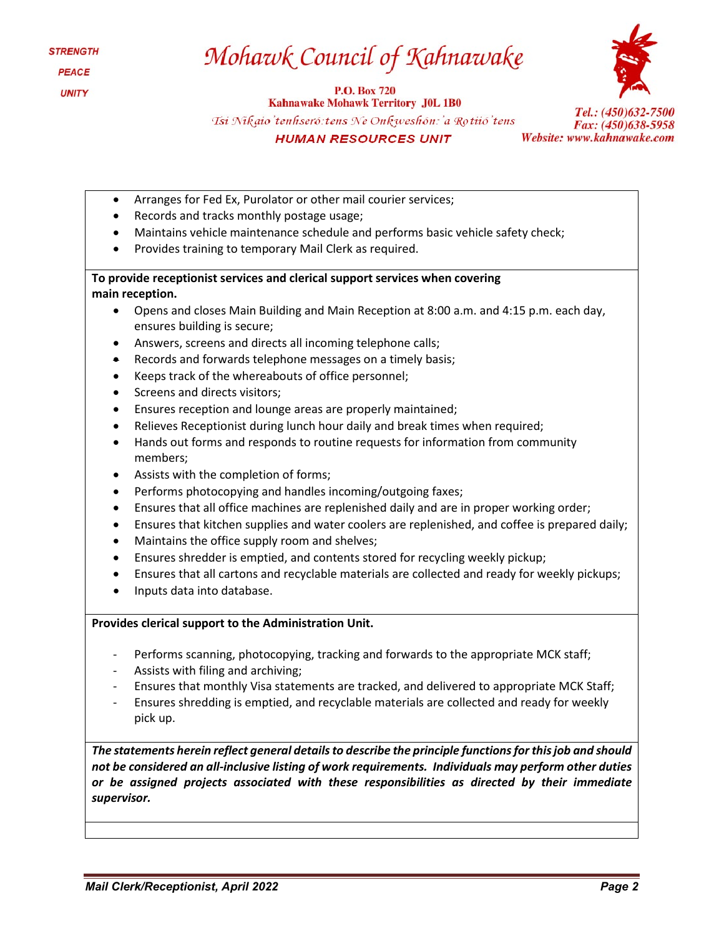## Mohawk Council of Kahnawake

**P.O. Box 720 Kahnawake Mohawk Territory J0L 1B0** Tsi Nikaio'tenhseró: tens Ne Onkweshón: 'a Rotiió'tens **HUMAN RESOURCES UNIT** 



Tel.: (450)632-7500 Fax: (450)638-5958 Website: www.kahnawake.com

- Arranges for Fed Ex, Purolator or other mail courier services;
- Records and tracks monthly postage usage;
- Maintains vehicle maintenance schedule and performs basic vehicle safety check;
- Provides training to temporary Mail Clerk as required.

**To provide receptionist services and clerical support services when covering main reception.**

- Opens and closes Main Building and Main Reception at 8:00 a.m. and 4:15 p.m. each day, ensures building is secure;
- Answers, screens and directs all incoming telephone calls;
- Records and forwards telephone messages on a timely basis;
- Keeps track of the whereabouts of office personnel;
- Screens and directs visitors;
- Ensures reception and lounge areas are properly maintained;
- Relieves Receptionist during lunch hour daily and break times when required;
- Hands out forms and responds to routine requests for information from community members;
- Assists with the completion of forms;
- Performs photocopying and handles incoming/outgoing faxes;
- Ensures that all office machines are replenished daily and are in proper working order;
- Ensures that kitchen supplies and water coolers are replenished, and coffee is prepared daily;
- Maintains the office supply room and shelves;
- Ensures shredder is emptied, and contents stored for recycling weekly pickup;
- Ensures that all cartons and recyclable materials are collected and ready for weekly pickups;
- Inputs data into database.

#### **Provides clerical support to the Administration Unit.**

- Performs scanning, photocopying, tracking and forwards to the appropriate MCK staff;
- Assists with filing and archiving;
- Ensures that monthly Visa statements are tracked, and delivered to appropriate MCK Staff;
- Ensures shredding is emptied, and recyclable materials are collected and ready for weekly pick up.

*The statements herein reflect general details to describe the principle functions for this job and should not be considered an all-inclusive listing of work requirements. Individuals may perform other duties or be assigned projects associated with these responsibilities as directed by their immediate supervisor.*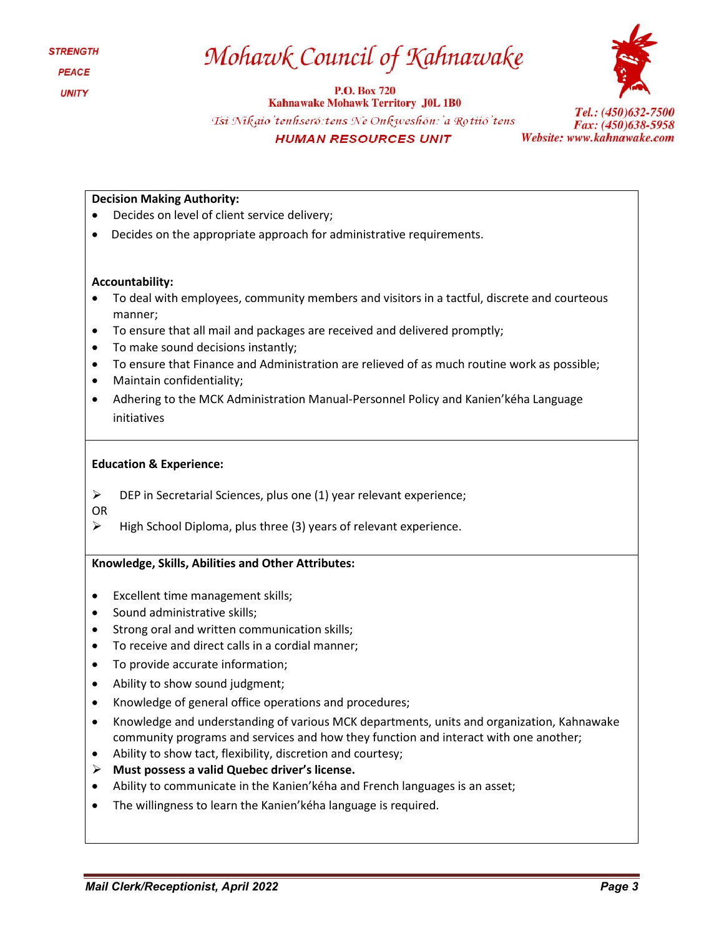### Mohawk Council of Kahnawake

**P.O. Box 720** 



**Kahnawake Mohawk Territory J0L 1B0** Tsi Nikaio'tenhseró: tens Ne Onkweshón: 'a Rotiió'tens **HUMAN RESOURCES UNIT** 

Tel.: (450)632-7500 Fax: (450)638-5958 Website: www.kahnawake.com

#### **Decision Making Authority:**

- Decides on level of client service delivery;
- Decides on the appropriate approach for administrative requirements.

#### **Accountability:**

- To deal with employees, community members and visitors in a tactful, discrete and courteous manner;
- To ensure that all mail and packages are received and delivered promptly;
- To make sound decisions instantly;
- To ensure that Finance and Administration are relieved of as much routine work as possible;
- Maintain confidentiality;
- Adhering to the MCK Administration Manual-Personnel Policy and Kanien'kéha Language initiatives

#### **Education & Experience:**

 $\triangleright$  DEP in Secretarial Sciences, plus one (1) year relevant experience;

OR

 $\triangleright$  High School Diploma, plus three (3) years of relevant experience.

#### **Knowledge, Skills, Abilities and Other Attributes:**

- Excellent time management skills;
- Sound administrative skills;
- Strong oral and written communication skills;
- To receive and direct calls in a cordial manner;
- To provide accurate information;
- Ability to show sound judgment;
- Knowledge of general office operations and procedures;
- Knowledge and understanding of various MCK departments, units and organization, Kahnawake community programs and services and how they function and interact with one another;
- Ability to show tact, flexibility, discretion and courtesy;
- **Must possess a valid Quebec driver's license.**
- Ability to communicate in the Kanien'kéha and French languages is an asset;
- The willingness to learn the Kanien'kéha language is required.